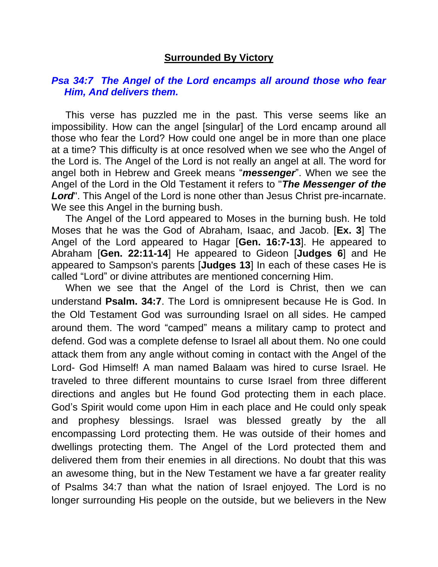## **Surrounded By Victory**

## *Psa 34:7 The Angel of the Lord encamps all around those who fear Him, And delivers them.*

 This verse has puzzled me in the past. This verse seems like an impossibility. How can the angel [singular] of the Lord encamp around all those who fear the Lord? How could one angel be in more than one place at a time? This difficulty is at once resolved when we see who the Angel of the Lord is. The Angel of the Lord is not really an angel at all. The word for angel both in Hebrew and Greek means "*messenger*". When we see the Angel of the Lord in the Old Testament it refers to "*The Messenger of the Lord*". This Angel of the Lord is none other than Jesus Christ pre-incarnate. We see this Angel in the burning bush.

 The Angel of the Lord appeared to Moses in the burning bush. He told Moses that he was the God of Abraham, Isaac, and Jacob. [**Ex. 3**] The Angel of the Lord appeared to Hagar [**Gen. 16:7-13**]. He appeared to Abraham [**Gen. 22:11-14**] He appeared to Gideon [**Judges 6**] and He appeared to Sampson's parents [**Judges 13**] In each of these cases He is called "Lord" or divine attributes are mentioned concerning Him.

 When we see that the Angel of the Lord is Christ, then we can understand **Psalm. 34:7**. The Lord is omnipresent because He is God. In the Old Testament God was surrounding Israel on all sides. He camped around them. The word "camped" means a military camp to protect and defend. God was a complete defense to Israel all about them. No one could attack them from any angle without coming in contact with the Angel of the Lord- God Himself! A man named Balaam was hired to curse Israel. He traveled to three different mountains to curse Israel from three different directions and angles but He found God protecting them in each place. God's Spirit would come upon Him in each place and He could only speak and prophesy blessings. Israel was blessed greatly by the all encompassing Lord protecting them. He was outside of their homes and dwellings protecting them. The Angel of the Lord protected them and delivered them from their enemies in all directions. No doubt that this was an awesome thing, but in the New Testament we have a far greater reality of Psalms 34:7 than what the nation of Israel enjoyed. The Lord is no longer surrounding His people on the outside, but we believers in the New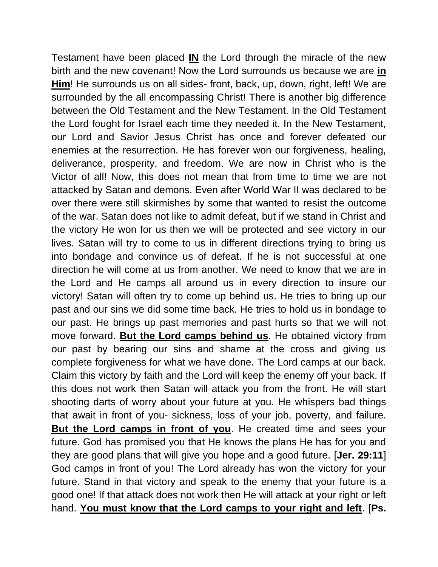Testament have been placed **IN** the Lord through the miracle of the new birth and the new covenant! Now the Lord surrounds us because we are **in Him**! He surrounds us on all sides- front, back, up, down, right, left! We are surrounded by the all encompassing Christ! There is another big difference between the Old Testament and the New Testament. In the Old Testament the Lord fought for Israel each time they needed it. In the New Testament, our Lord and Savior Jesus Christ has once and forever defeated our enemies at the resurrection. He has forever won our forgiveness, healing, deliverance, prosperity, and freedom. We are now in Christ who is the Victor of all! Now, this does not mean that from time to time we are not attacked by Satan and demons. Even after World War II was declared to be over there were still skirmishes by some that wanted to resist the outcome of the war. Satan does not like to admit defeat, but if we stand in Christ and the victory He won for us then we will be protected and see victory in our lives. Satan will try to come to us in different directions trying to bring us into bondage and convince us of defeat. If he is not successful at one direction he will come at us from another. We need to know that we are in the Lord and He camps all around us in every direction to insure our victory! Satan will often try to come up behind us. He tries to bring up our past and our sins we did some time back. He tries to hold us in bondage to our past. He brings up past memories and past hurts so that we will not move forward. **But the Lord camps behind us**. He obtained victory from our past by bearing our sins and shame at the cross and giving us complete forgiveness for what we have done. The Lord camps at our back. Claim this victory by faith and the Lord will keep the enemy off your back. If this does not work then Satan will attack you from the front. He will start shooting darts of worry about your future at you. He whispers bad things that await in front of you- sickness, loss of your job, poverty, and failure. **But the Lord camps in front of you**. He created time and sees your future. God has promised you that He knows the plans He has for you and they are good plans that will give you hope and a good future. [**Jer. 29:11**] God camps in front of you! The Lord already has won the victory for your future. Stand in that victory and speak to the enemy that your future is a good one! If that attack does not work then He will attack at your right or left hand. **You must know that the Lord camps to your right and left**. [**Ps.**